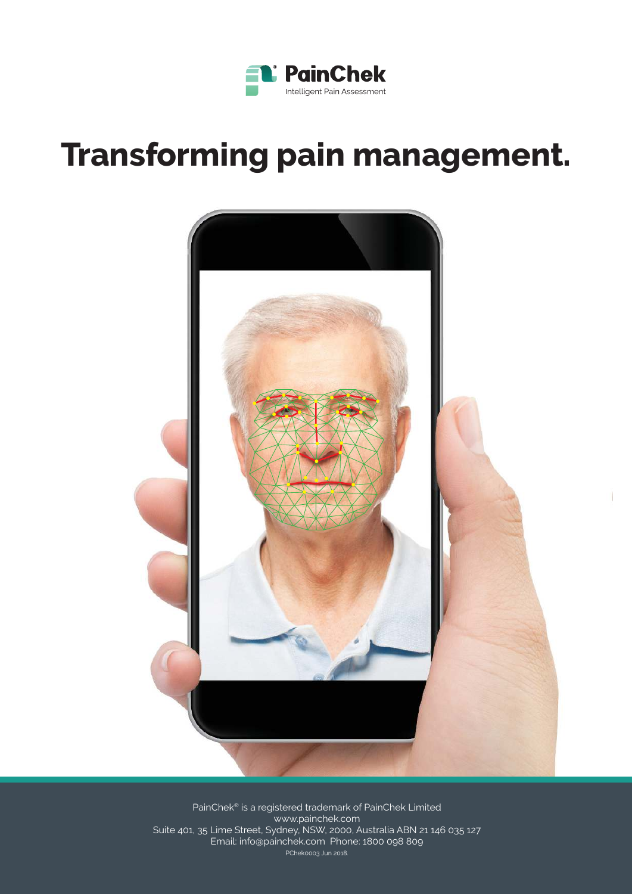

# **Transforming pain management.**



PainChek<sup>®</sup> is a registered trademark of PainChek Limited www.painchek.com Suite 401, 35 Lime Street, Sydney, NSW, 2000, Australia ABN 21 146 035 127 Email: info@painchek.com Phone: 1800 098 809 PChek0003 Jun 2018.